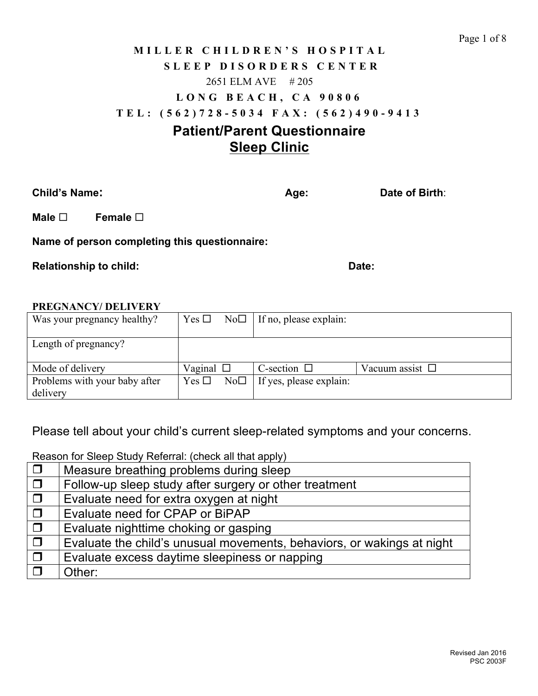# **MILLER CHILDREN'S HO SPITAL SLEEP DISORDERS CENT E R** 2651 ELM AVE # 205 **LONG BEACH, CA 90806 TEL: (562) 728 - 5034 FAX: (562) 490 - 9413 Patient/Parent Questionnaire**

# **Sleep Clinic**

**Child's Name: Age: Date of Birth: Age: Date of Birth**:

**Male**  $\Box$  **Female**  $\Box$ 

**Name of person completing this questionnaire:**

**Relationship to child:** Date: Date: Date: Date: Date: Date: Date: Date: Date: Date: Date: Date: Date: Date: Date: Date: Date: Date: Date: Date: Date: Date: Date: Date: Date: Date: Date: Date: Date: Date: Date: Date: Date:

#### **PREGNANCY/ DELIVERY**

| Was your pregnancy healthy?   | No <sub>D</sub><br>Yes $\Box$ | If no, please explain:  |                      |
|-------------------------------|-------------------------------|-------------------------|----------------------|
|                               |                               |                         |                      |
| Length of pregnancy?          |                               |                         |                      |
|                               |                               |                         |                      |
| Mode of delivery              | Vaginal $\square$             | C-section $\Box$        | Vacuum assist $\Box$ |
| Problems with your baby after | No <sub>D</sub><br>Yes $\Box$ | If yes, please explain: |                      |
| delivery                      |                               |                         |                      |

Please tell about your child's current sleep-related symptoms and your concerns.

 $\Box$  Measure breathing problems during sleep  $\Box$  | Follow-up sleep study after surgery or other treatment  $\Box$  | Evaluate need for extra oxygen at night  $\Box$  | Evaluate need for CPAP or BiPAP  $\Box$  Evaluate nighttime choking or gasping  $\Box$  Evaluate the child's unusual movements, behaviors, or wakings at night  $\Box$  Evaluate excess daytime sleepiness or napping  $\Box$  Other:

Reason for Sleep Study Referral: (check all that apply)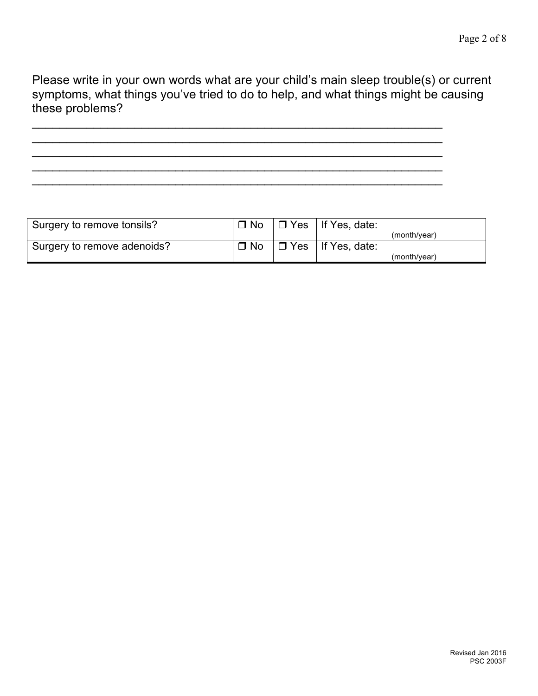Please write in your own words what are your child's main sleep trouble(s) or current symptoms, what things you've tried to do to help, and what things might be causing these problems?

 $\_$  ,  $\_$  ,  $\_$  ,  $\_$  ,  $\_$  ,  $\_$  ,  $\_$  ,  $\_$  ,  $\_$  ,  $\_$  ,  $\_$  ,  $\_$  ,  $\_$  ,  $\_$  ,  $\_$  ,  $\_$  ,  $\_$  ,  $\_$  ,  $\_$  ,  $\_$  $\_$  ,  $\_$  ,  $\_$  ,  $\_$  ,  $\_$  ,  $\_$  ,  $\_$  ,  $\_$  ,  $\_$  ,  $\_$  ,  $\_$  ,  $\_$  ,  $\_$  ,  $\_$  ,  $\_$  ,  $\_$  ,  $\_$  ,  $\_$  ,  $\_$  ,  $\_$ \_\_\_\_\_\_\_\_\_\_\_\_\_\_\_\_\_\_\_\_\_\_\_\_\_\_\_\_\_\_\_\_\_\_\_\_\_\_\_\_\_\_\_\_\_\_\_\_\_\_\_\_\_\_\_\_\_\_\_\_  $\overline{\phantom{a}}$  , and the contract of the contract of the contract of the contract of the contract of the contract of the contract of the contract of the contract of the contract of the contract of the contract of the contrac  $\overline{\phantom{a}}$  , and the contribution of the contribution of the contribution of the contribution of the contribution of  $\overline{\phantom{a}}$ 

Surgery to remove tonsils?  $\Box$  No  $\Box$  Yes | If Yes, date: (month/year)<br>If Yes, date: Surgery to remove adenoids?  $\Box$  No  $\Box$  Yes (month/year)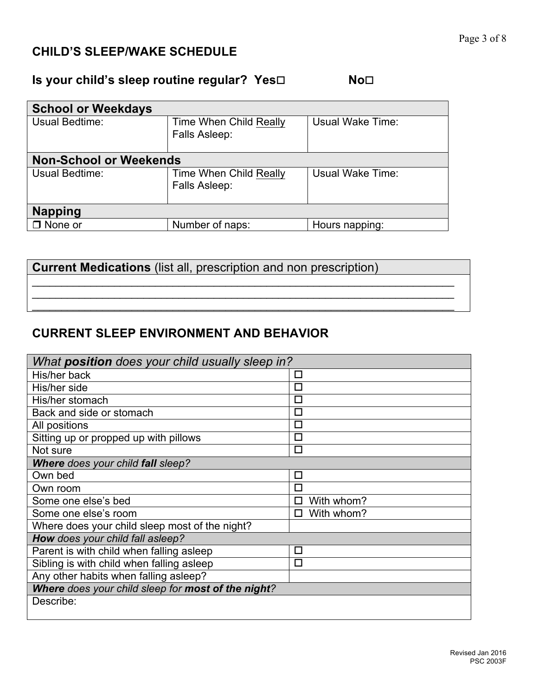# **CHILD'S SLEEP/WAKE SCHEDULE**

# **Is your child's sleep routine regular? Yes□** No<sup>□</sup>

| <b>School or Weekdays</b>     |                                                |                  |  |  |  |
|-------------------------------|------------------------------------------------|------------------|--|--|--|
| Usual Bedtime:                | Time When Child Really<br>Falls Asleep:        | Usual Wake Time: |  |  |  |
| <b>Non-School or Weekends</b> |                                                |                  |  |  |  |
| Usual Bedtime:                | <b>Time When Child Really</b><br>Falls Asleep: | Usual Wake Time: |  |  |  |
| <b>Napping</b>                |                                                |                  |  |  |  |
| $\Box$ None or                | Number of naps:                                | Hours napping:   |  |  |  |

\_\_\_\_\_\_\_\_\_\_\_\_\_\_\_\_\_\_\_\_\_\_\_\_\_\_\_\_\_\_\_\_\_\_\_\_\_\_\_\_\_\_\_\_\_\_\_\_\_\_\_\_\_\_\_\_\_\_\_\_\_\_\_\_\_\_\_\_\_\_\_\_ \_\_\_\_\_\_\_\_\_\_\_\_\_\_\_\_\_\_\_\_\_\_\_\_\_\_\_\_\_\_\_\_\_\_\_\_\_\_\_\_\_\_\_\_\_\_\_\_\_\_\_\_\_\_\_\_\_\_\_\_\_\_\_\_\_\_\_\_\_\_\_\_ \_\_\_\_\_\_\_\_\_\_\_\_\_\_\_\_\_\_\_\_\_\_\_\_\_\_\_\_\_\_\_\_\_\_\_\_\_\_\_\_\_\_\_\_\_\_\_\_\_\_\_\_\_\_\_\_\_\_\_\_\_\_\_\_\_\_\_\_\_\_\_\_

**Current Medications** (list all, prescription and non prescription)

### **CURRENT SLEEP ENVIRONMENT AND BEHAVIOR**

| What position does your child usually sleep in?    |            |
|----------------------------------------------------|------------|
| His/her back                                       | □          |
| His/her side                                       | $\Box$     |
| His/her stomach                                    | $\Box$     |
| Back and side or stomach                           | П          |
| All positions                                      | □          |
| Sitting up or propped up with pillows              | $\Box$     |
| Not sure                                           | П          |
| <b>Where does your child fall sleep?</b>           |            |
| Own bed                                            | □          |
| Own room                                           | $\Box$     |
| Some one else's bed                                | With whom? |
| Some one else's room                               | With whom? |
| Where does your child sleep most of the night?     |            |
| How does your child fall asleep?                   |            |
| Parent is with child when falling asleep           | □          |
| Sibling is with child when falling asleep          | □          |
| Any other habits when falling asleep?              |            |
| Where does your child sleep for most of the night? |            |
| Describe:                                          |            |
|                                                    |            |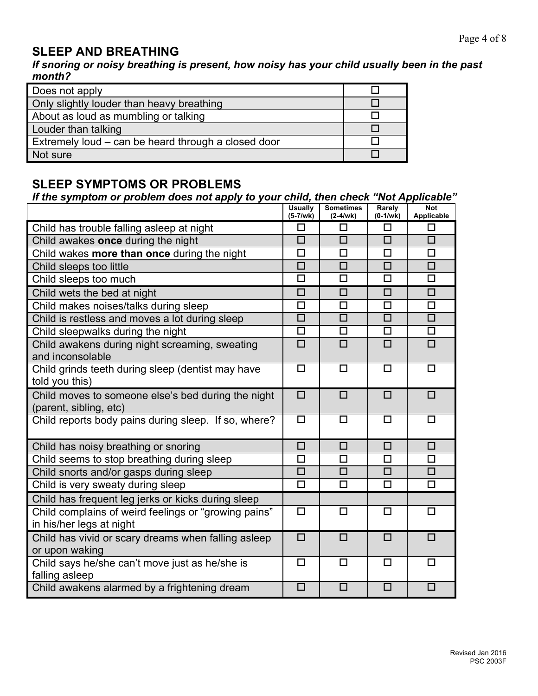## **SLEEP AND BREATHING**

*If snoring or noisy breathing is present, how noisy has your child usually been in the past month?*

| Does not apply                                      |  |
|-----------------------------------------------------|--|
| Only slightly louder than heavy breathing           |  |
| About as loud as mumbling or talking                |  |
| Louder than talking                                 |  |
| Extremely loud – can be heard through a closed door |  |
| Not sure                                            |  |

## **SLEEP SYMPTOMS OR PROBLEMS**

#### *If the symptom or problem does not apply to your child, then check "Not Applicable"*

|                                                                              | <b>Usually</b><br>$(5-7/wk)$ | <b>Sometimes</b><br>$(2-4/wk)$ | Rarely<br>$(0-1/wk)$ | <b>Not</b><br>Applicable |
|------------------------------------------------------------------------------|------------------------------|--------------------------------|----------------------|--------------------------|
| Child has trouble falling asleep at night                                    | □                            | □                              | □                    | □                        |
| Child awakes once during the night                                           | $\Box$                       | $\Box$                         | $\Box$               | $\Box$                   |
| Child wakes more than once during the night                                  | $\Box$                       | $\Box$                         | $\Box$               | $\Box$                   |
| Child sleeps too little                                                      | $\Box$                       | $\Box$                         | $\Box$               | $\Box$                   |
| Child sleeps too much                                                        | $\Box$                       | $\Box$                         | $\Box$               | $\Box$                   |
| Child wets the bed at night                                                  | $\Box$                       | $\Box$                         | $\Box$               | $\Box$                   |
| Child makes noises/talks during sleep                                        | $\Box$                       | □                              | □                    | $\Box$                   |
| Child is restless and moves a lot during sleep                               | $\overline{\square}$         | $\overline{\Box}$              | $\overline{\square}$ | $\overline{\square}$     |
| Child sleepwalks during the night                                            | $\Box$                       | $\Box$                         | $\Box$               | $\Box$                   |
| Child awakens during night screaming, sweating<br>and inconsolable           | $\Box$                       | $\Box$                         | $\Box$               | $\Box$                   |
| Child grinds teeth during sleep (dentist may have<br>told you this)          | □                            | □                              | $\Box$               | □                        |
| Child moves to someone else's bed during the night<br>(parent, sibling, etc) | $\Box$                       | $\Box$                         | $\Box$               | $\Box$                   |
| Child reports body pains during sleep. If so, where?                         | $\Box$                       | □                              | $\Box$               | □                        |
| Child has noisy breathing or snoring                                         | $\Box$                       | $\Box$                         | $\Box$               | $\Box$                   |
| Child seems to stop breathing during sleep                                   | П                            | $\Box$                         | П                    | П                        |
| Child snorts and/or gasps during sleep                                       | $\Box$                       | $\Box$                         | $\Box$               | $\Box$                   |
| Child is very sweaty during sleep                                            | □                            | □                              | $\Box$               | $\Box$                   |
| Child has frequent leg jerks or kicks during sleep                           |                              |                                |                      |                          |
| Child complains of weird feelings or "growing pains"                         | □                            | п                              | $\Box$               | $\Box$                   |
| in his/her legs at night                                                     |                              |                                |                      |                          |
| Child has vivid or scary dreams when falling asleep<br>or upon waking        | $\Box$                       | □                              | $\Box$               | П                        |
| Child says he/she can't move just as he/she is<br>falling asleep             | $\Box$                       | □                              | $\Box$               | П                        |
| Child awakens alarmed by a frightening dream                                 | $\Box$                       | $\Box$                         | $\Box$               | $\Box$                   |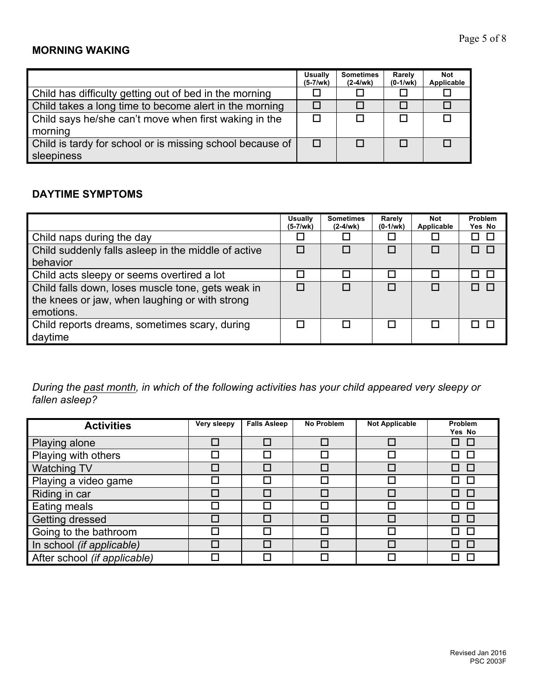### **MORNING WAKING**

|                                                           | Usually<br>$(5-7/wk)$ | <b>Sometimes</b><br>$(2-4/wk)$ | Rarely<br>$(0-1/wk)$ | <b>Not</b><br>Applicable |
|-----------------------------------------------------------|-----------------------|--------------------------------|----------------------|--------------------------|
| Child has difficulty getting out of bed in the morning    |                       |                                |                      |                          |
| Child takes a long time to become alert in the morning    |                       |                                |                      |                          |
| Child says he/she can't move when first waking in the     |                       |                                |                      |                          |
| morning                                                   |                       |                                |                      |                          |
| Child is tardy for school or is missing school because of | $\Box$                |                                | п                    |                          |
| sleepiness                                                |                       |                                |                      |                          |

#### **DAYTIME SYMPTOMS**

|                                                                                                                  | <b>Usually</b><br>(5-7/wk) | <b>Sometimes</b><br>$(2-4/wk)$ | Rarely<br>$(0-1/wk)$ | <b>Not</b><br>Applicable | Problem<br>Yes No |
|------------------------------------------------------------------------------------------------------------------|----------------------------|--------------------------------|----------------------|--------------------------|-------------------|
| Child naps during the day                                                                                        |                            |                                |                      |                          |                   |
| Child suddenly falls asleep in the middle of active                                                              |                            |                                |                      |                          |                   |
| behavior                                                                                                         |                            |                                |                      |                          |                   |
| Child acts sleepy or seems overtired a lot                                                                       | П                          |                                | ⊓                    |                          |                   |
| Child falls down, loses muscle tone, gets weak in<br>the knees or jaw, when laughing or with strong<br>emotions. | п                          |                                |                      |                          |                   |
| Child reports dreams, sometimes scary, during<br>daytime                                                         |                            |                                |                      |                          |                   |

*During the past month, in which of the following activities has your child appeared very sleepy or fallen asleep?* 

| <b>Activities</b>            | Very sleepy | <b>Falls Asleep</b> | <b>No Problem</b> | <b>Not Applicable</b> | Problem<br>Yes No |
|------------------------------|-------------|---------------------|-------------------|-----------------------|-------------------|
| Playing alone                | П           |                     |                   | $\Box$                | $\Box$            |
| Playing with others          |             |                     |                   |                       | $\Box$            |
| <b>Watching TV</b>           | П           |                     |                   | $\Box$                | □                 |
| Playing a video game         | П           | П                   |                   |                       | П                 |
| Riding in car                | П           | П                   |                   | П                     | П                 |
| Eating meals                 | Г           | П                   |                   |                       | П                 |
| Getting dressed              | П           |                     |                   | П                     | $\Box$            |
| Going to the bathroom        |             | П                   |                   |                       | $\Box$            |
| In school (if applicable)    |             |                     |                   |                       | П                 |
| After school (if applicable) |             |                     |                   |                       |                   |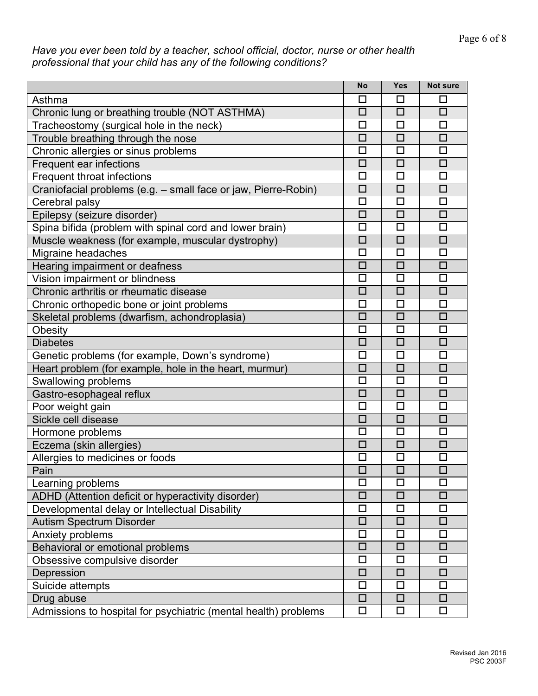#### *Have you ever been told by a teacher, school official, doctor, nurse or other health professional that your child has any of the following conditions?*

|                                                                 | No     | Yes    | <b>Not sure</b> |
|-----------------------------------------------------------------|--------|--------|-----------------|
| Asthma                                                          | □      | ப      | H               |
| Chronic lung or breathing trouble (NOT ASTHMA)                  | $\Box$ | $\Box$ | $\Box$          |
| Tracheostomy (surgical hole in the neck)                        | $\Box$ | □      | □               |
| Trouble breathing through the nose                              | $\Box$ | $\Box$ | $\Box$          |
| Chronic allergies or sinus problems                             | $\Box$ | □      | $\Box$          |
| Frequent ear infections                                         | □      | □      | $\Box$          |
| Frequent throat infections                                      | $\Box$ | □      | □               |
| Craniofacial problems (e.g. - small face or jaw, Pierre-Robin)  | $\Box$ | $\Box$ | $\Box$          |
| Cerebral palsy                                                  | $\Box$ | $\Box$ | $\Box$          |
| Epilepsy (seizure disorder)                                     | $\Box$ | $\Box$ | $\Box$          |
| Spina bifida (problem with spinal cord and lower brain)         | $\Box$ | □      | $\Box$          |
| Muscle weakness (for example, muscular dystrophy)               | □      | $\Box$ | □               |
| Migraine headaches                                              | □      | $\Box$ | $\Box$          |
| Hearing impairment or deafness                                  | $\Box$ | $\Box$ | $\Box$          |
| Vision impairment or blindness                                  | $\Box$ | □      | □               |
| Chronic arthritis or rheumatic disease                          | $\Box$ | $\Box$ | $\Box$          |
| Chronic orthopedic bone or joint problems                       | $\Box$ | □      | $\Box$          |
| Skeletal problems (dwarfism, achondroplasia)                    | $\Box$ | $\Box$ | $\Box$          |
| Obesity                                                         | □      | □      | □               |
| <b>Diabetes</b>                                                 | $\Box$ | $\Box$ | $\Box$          |
| Genetic problems (for example, Down's syndrome)                 | □      | □      | □               |
| Heart problem (for example, hole in the heart, murmur)          | $\Box$ | $\Box$ | $\Box$          |
| Swallowing problems                                             | $\Box$ | $\Box$ | $\Box$          |
| Gastro-esophageal reflux                                        | □      | □      | □               |
| Poor weight gain                                                | $\Box$ | $\Box$ | $\Box$          |
| Sickle cell disease                                             | $\Box$ | $\Box$ | □               |
| Hormone problems                                                | $\Box$ | $\Box$ | $\Box$          |
| Eczema (skin allergies)                                         | $\Box$ | $\Box$ | $\Box$          |
| Allergies to medicines or foods                                 | $\Box$ | □      | □               |
| Pain                                                            | $\Box$ | $\Box$ | $\Box$          |
| Learning problems                                               | □      | □      | □               |
| ADHD (Attention deficit or hyperactivity disorder)              | □      | $\Box$ | $\Box$          |
| Developmental delay or Intellectual Disability                  | □      | □      | □               |
| Autism Spectrum Disorder                                        | $\Box$ | $\Box$ | $\Box$          |
| Anxiety problems                                                | $\Box$ | $\Box$ | $\Box$          |
| Behavioral or emotional problems                                | $\Box$ | $\Box$ | $\Box$          |
| Obsessive compulsive disorder                                   | $\Box$ | $\Box$ | $\Box$          |
| Depression                                                      | $\Box$ | $\Box$ | $\Box$          |
| Suicide attempts                                                | □      | $\Box$ | $\Box$          |
| Drug abuse                                                      | $\Box$ | $\Box$ | $\Box$          |
| Admissions to hospital for psychiatric (mental health) problems | $\Box$ | $\Box$ | $\Box$          |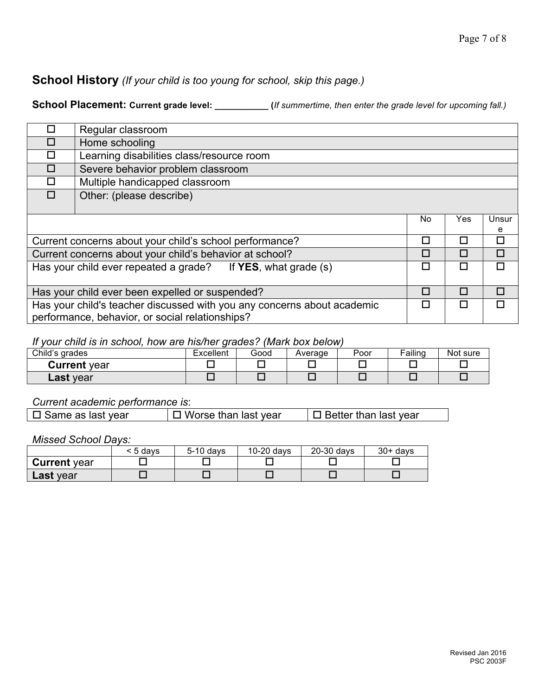### **School History** *(If your child is too young for school, skip this page.)*

**School Placement: Current grade level: \_\_\_\_\_\_\_\_\_\_\_ (***If summertime, then enter the grade level for upcoming fall.)*

| П                                                              | Regular classroom                                                            |    |     |       |
|----------------------------------------------------------------|------------------------------------------------------------------------------|----|-----|-------|
| $\Box$                                                         | Home schooling                                                               |    |     |       |
| П                                                              | Learning disabilities class/resource room                                    |    |     |       |
| П                                                              | Severe behavior problem classroom                                            |    |     |       |
|                                                                | Multiple handicapped classroom                                               |    |     |       |
|                                                                | Other: (please describe)                                                     |    |     |       |
|                                                                |                                                                              |    |     |       |
|                                                                |                                                                              | No | Yes | Unsur |
|                                                                |                                                                              |    |     | e     |
|                                                                | Current concerns about your child's school performance?                      | П  | H   | П     |
|                                                                | Current concerns about your child's behavior at school?                      | П  | П   | п     |
|                                                                | Has your child ever repeated a grade? If <b>YES</b> , what grade (s)         | П  | П   | п     |
|                                                                |                                                                              |    |     |       |
| Has your child ever been expelled or suspended?<br>п<br>п<br>П |                                                                              |    |     |       |
|                                                                | Has your child's teacher discussed with you any concerns about academic<br>П |    |     |       |
|                                                                | performance, behavior, or social relationships?                              |    |     |       |

#### *If your child is in school, how are his/her grades? (Mark box below)*

| Child's grades      | Excellent | Good | Average | Poor | Failing | Not sure |
|---------------------|-----------|------|---------|------|---------|----------|
| <b>Current</b> year |           |      |         |      |         |          |
| <b>∟ast</b> year    |           |      |         |      |         |          |

*Current academic performance is*:

| $\square$ Same as last year | $\Box$ Worse than last year | $\Box$ Better than last year |
|-----------------------------|-----------------------------|------------------------------|
|-----------------------------|-----------------------------|------------------------------|

*Missed School Days:*

|                     | < 5 davs | 5-10 days | 10-20 days | 20-30 days | $30 + days$ |
|---------------------|----------|-----------|------------|------------|-------------|
| <b>Current</b> year |          |           |            |            |             |
| <b>∟ast</b> vear    |          |           |            |            |             |